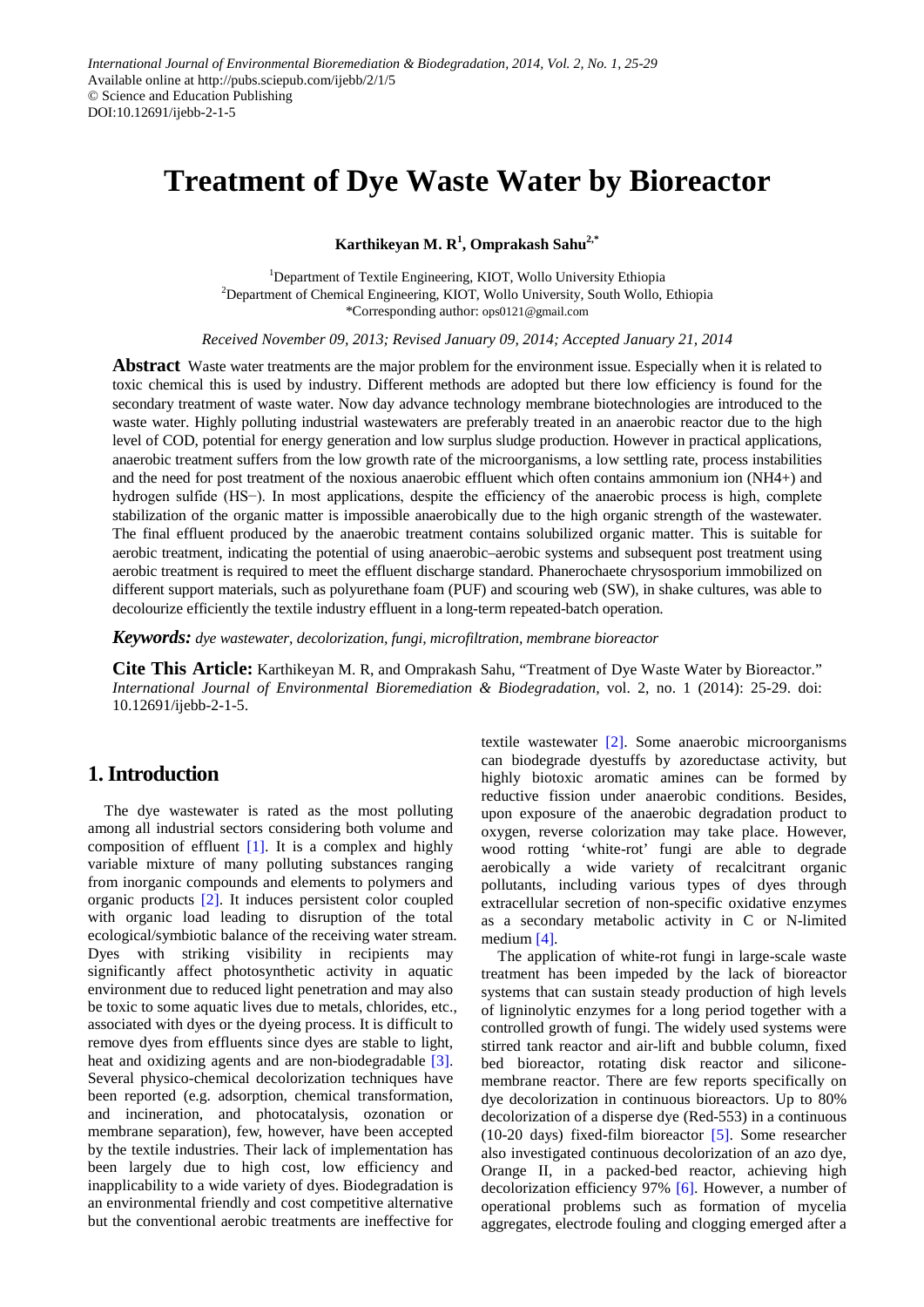# **Treatment of Dye Waste Water by Bioreactor**

**Karthikeyan M. R<sup>1</sup> , Omprakash Sahu2,\***

<sup>1</sup>Department of Textile Engineering, KIOT, Wollo University Ethiopia <sup>2</sup>Department of Chemical Engineering, KIOT, Wollo University, South Wollo, Ethiopia \*Corresponding author: ops0121@gmail.com

*Received November 09, 2013; Revised January 09, 2014; Accepted January 21, 2014*

**Abstract** Waste water treatments are the major problem for the environment issue. Especially when it is related to toxic chemical this is used by industry. Different methods are adopted but there low efficiency is found for the secondary treatment of waste water. Now day advance technology membrane biotechnologies are introduced to the waste water. Highly polluting industrial wastewaters are preferably treated in an anaerobic reactor due to the high level of COD, potential for energy generation and low surplus sludge production. However in practical applications, anaerobic treatment suffers from the low growth rate of the microorganisms, a low settling rate, process instabilities and the need for post treatment of the noxious anaerobic effluent which often contains ammonium ion (NH4+) and hydrogen sulfide (HS−). In most applications, despite the efficiency of the anaerobic process is high, complete stabilization of the organic matter is impossible anaerobically due to the high organic strength of the wastewater. The final effluent produced by the anaerobic treatment contains solubilized organic matter. This is suitable for aerobic treatment, indicating the potential of using anaerobic–aerobic systems and subsequent post treatment using aerobic treatment is required to meet the effluent discharge standard. Phanerochaete chrysosporium immobilized on different support materials, such as polyurethane foam (PUF) and scouring web (SW), in shake cultures, was able to decolourize efficiently the textile industry effluent in a long-term repeated-batch operation.

*Keywords: dye wastewater, decolorization, fungi, microfiltration, membrane bioreactor*

**Cite This Article:** Karthikeyan M. R, and Omprakash Sahu, "Treatment of Dye Waste Water by Bioreactor." *International Journal of Environmental Bioremediation & Biodegradation,* vol. 2, no. 1 (2014): 25-29. doi: 10.12691/ijebb-2-1-5.

# **1. Introduction**

The dye wastewater is rated as the most polluting among all industrial sectors considering both volume and composition of effluent [\[1\].](#page-4-0) It is a complex and highly variable mixture of many polluting substances ranging from inorganic compounds and elements to polymers and organic products [\[2\].](#page-4-1) It induces persistent color coupled with organic load leading to disruption of the total ecological/symbiotic balance of the receiving water stream. Dyes with striking visibility in recipients may significantly affect photosynthetic activity in aquatic environment due to reduced light penetration and may also be toxic to some aquatic lives due to metals, chlorides, etc., associated with dyes or the dyeing process. It is difficult to remove dyes from effluents since dyes are stable to light, heat and oxidizing agents and are non-biodegradable [\[3\].](#page-4-2) Several physico-chemical decolorization techniques have been reported (e.g. adsorption, chemical transformation, and incineration, and photocatalysis, ozonation or membrane separation), few, however, have been accepted by the textile industries. Their lack of implementation has been largely due to high cost, low efficiency and inapplicability to a wide variety of dyes. Biodegradation is an environmental friendly and cost competitive alternative but the conventional aerobic treatments are ineffective for

textile wastewater [\[2\].](#page-4-1) Some anaerobic microorganisms can biodegrade dyestuffs by azoreductase activity, but highly biotoxic aromatic amines can be formed by reductive fission under anaerobic conditions. Besides, upon exposure of the anaerobic degradation product to oxygen, reverse colorization may take place. However, wood rotting 'white-rot' fungi are able to degrade aerobically a wide variety of recalcitrant organic pollutants, including various types of dyes through extracellular secretion of non-specific oxidative enzymes as a secondary metabolic activity in C or N-limited medium [\[4\].](#page-4-3)

The application of white-rot fungi in large-scale waste treatment has been impeded by the lack of bioreactor systems that can sustain steady production of high levels of ligninolytic enzymes for a long period together with a controlled growth of fungi. The widely used systems were stirred tank reactor and air-lift and bubble column, fixed bed bioreactor, rotating disk reactor and siliconemembrane reactor. There are few reports specifically on dye decolorization in continuous bioreactors. Up to 80% decolorization of a disperse dye (Red-553) in a continuous (10-20 days) fixed-film bioreactor [\[5\].](#page-4-4) Some researcher also investigated continuous decolorization of an azo dye, Orange II, in a packed-bed reactor, achieving high decolorization efficiency 97% [\[6\].](#page-4-5) However, a number of operational problems such as formation of mycelia aggregates, electrode fouling and clogging emerged after a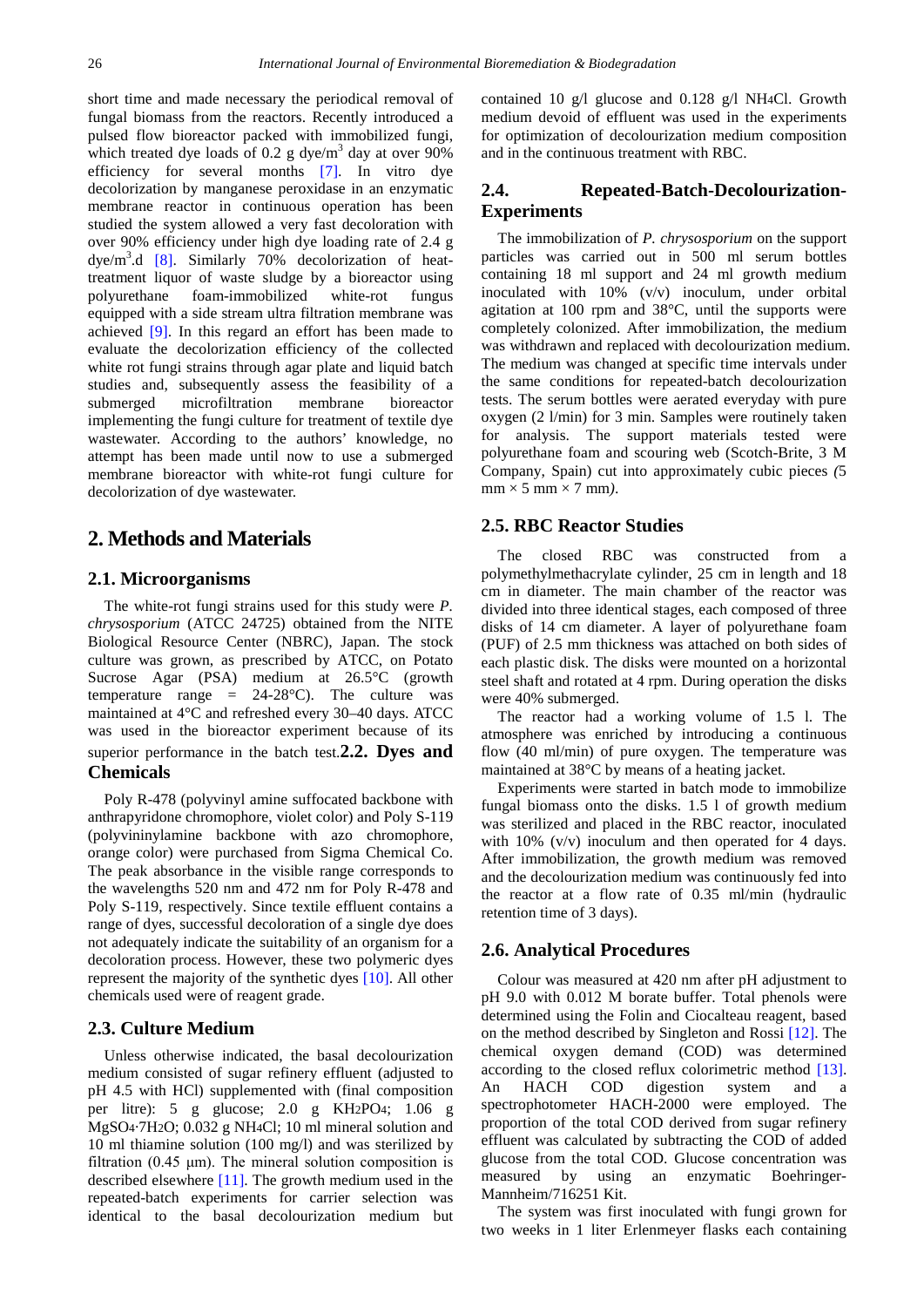short time and made necessary the periodical removal of fungal biomass from the reactors. Recently introduced a pulsed flow bioreactor packed with immobilized fungi, which treated dye loads of 0.2 g dye/ $m<sup>3</sup>$  day at over 90% efficiency for several months [\[7\].](#page-4-6) In vitro dye decolorization by manganese peroxidase in an enzymatic membrane reactor in continuous operation has been studied the system allowed a very fast decoloration with over 90% efficiency under high dye loading rate of 2.4 g dye/m<sup>3</sup>.d [\[8\].](#page-4-7) Similarly 70% decolorization of heattreatment liquor of waste sludge by a bioreactor using polyurethane foam-immobilized white-rot fungus equipped with a side stream ultra filtration membrane was achieved [\[9\].](#page-4-8) In this regard an effort has been made to evaluate the decolorization efficiency of the collected white rot fungi strains through agar plate and liquid batch studies and, subsequently assess the feasibility of a submerged microfiltration membrane bioreactor implementing the fungi culture for treatment of textile dye wastewater. According to the authors' knowledge, no attempt has been made until now to use a submerged membrane bioreactor with white-rot fungi culture for decolorization of dye wastewater.

# **2. Methods and Materials**

#### **2.1. Microorganisms**

The white-rot fungi strains used for this study were *P. chrysosporium* (ATCC 24725) obtained from the NITE Biological Resource Center (NBRC), Japan. The stock culture was grown, as prescribed by ATCC, on Potato Sucrose Agar (PSA) medium at 26.5°C (growth temperature range  $= 24-28$ °C). The culture was maintained at 4°C and refreshed every 30–40 days. ATCC was used in the bioreactor experiment because of its superior performance in the batch test.**2.2. Dyes and Chemicals**

Poly R-478 (polyvinyl amine suffocated backbone with anthrapyridone chromophore, violet color) and Poly S-119 (polyvininylamine backbone with azo chromophore, orange color) were purchased from Sigma Chemical Co. The peak absorbance in the visible range corresponds to the wavelengths 520 nm and 472 nm for Poly R-478 and Poly S-119, respectively. Since textile effluent contains a range of dyes, successful decoloration of a single dye does not adequately indicate the suitability of an organism for a decoloration process. However, these two polymeric dyes represent the majority of the synthetic dyes [\[10\].](#page-4-9) All other chemicals used were of reagent grade.

#### **2.3. Culture Medium**

Unless otherwise indicated, the basal decolourization medium consisted of sugar refinery effluent (adjusted to pH 4.5 with HCl) supplemented with (final composition per litre): 5 g glucose; 2.0 g KH2PO4; 1.06 g MgSO4·7H2O; 0.032 g NH4Cl; 10 ml mineral solution and 10 ml thiamine solution (100 mg/l) and was sterilized by filtration (0.45  $\mu$ m). The mineral solution composition is described elsewhere [\[11\].](#page-4-10) The growth medium used in the repeated-batch experiments for carrier selection was identical to the basal decolourization medium but

contained 10 g/l glucose and 0.128 g/l NH4Cl. Growth medium devoid of effluent was used in the experiments for optimization of decolourization medium composition and in the continuous treatment with RBC.

## **2.4. Repeated-Batch-Decolourization-Experiments**

The immobilization of *P. chrysosporium* on the support particles was carried out in 500 ml serum bottles containing 18 ml support and 24 ml growth medium inoculated with 10% (v/v) inoculum, under orbital agitation at 100 rpm and 38°C, until the supports were completely colonized. After immobilization, the medium was withdrawn and replaced with decolourization medium. The medium was changed at specific time intervals under the same conditions for repeated-batch decolourization tests. The serum bottles were aerated everyday with pure oxygen (2 l/min) for 3 min. Samples were routinely taken for analysis. The support materials tested were polyurethane foam and scouring web (Scotch-Brite, 3 M Company, Spain) cut into approximately cubic pieces *(*5  $mm \times 5 mm \times 7 mm$ ).

#### **2.5. RBC Reactor Studies**

The closed RBC was constructed from polymethylmethacrylate cylinder, 25 cm in length and 18 cm in diameter. The main chamber of the reactor was divided into three identical stages, each composed of three disks of 14 cm diameter. A layer of polyurethane foam (PUF) of 2.5 mm thickness was attached on both sides of each plastic disk. The disks were mounted on a horizontal steel shaft and rotated at 4 rpm. During operation the disks were 40% submerged.

The reactor had a working volume of 1.5 l. The atmosphere was enriched by introducing a continuous flow (40 ml/min) of pure oxygen. The temperature was maintained at 38°C by means of a heating jacket.

Experiments were started in batch mode to immobilize fungal biomass onto the disks. 1.5 l of growth medium was sterilized and placed in the RBC reactor, inoculated with 10% (v/v) inoculum and then operated for 4 days. After immobilization, the growth medium was removed and the decolourization medium was continuously fed into the reactor at a flow rate of 0.35 ml/min (hydraulic retention time of 3 days).

#### **2.6. Analytical Procedures**

Colour was measured at 420 nm after pH adjustment to pH 9.0 with 0.012 M borate buffer. Total phenols were determined using the Folin and Ciocalteau reagent, based on the method described by Singleton and Rossi [\[12\].](#page-4-11) The chemical oxygen demand (COD) was determined according to the closed reflux colorimetric method [\[13\].](#page-4-12) An HACH COD digestion system and a spectrophotometer HACH-2000 were employed. The proportion of the total COD derived from sugar refinery effluent was calculated by subtracting the COD of added glucose from the total COD. Glucose concentration was measured by using an enzymatic Boehringer-Mannheim/716251 Kit.

The system was first inoculated with fungi grown for two weeks in 1 liter Erlenmeyer flasks each containing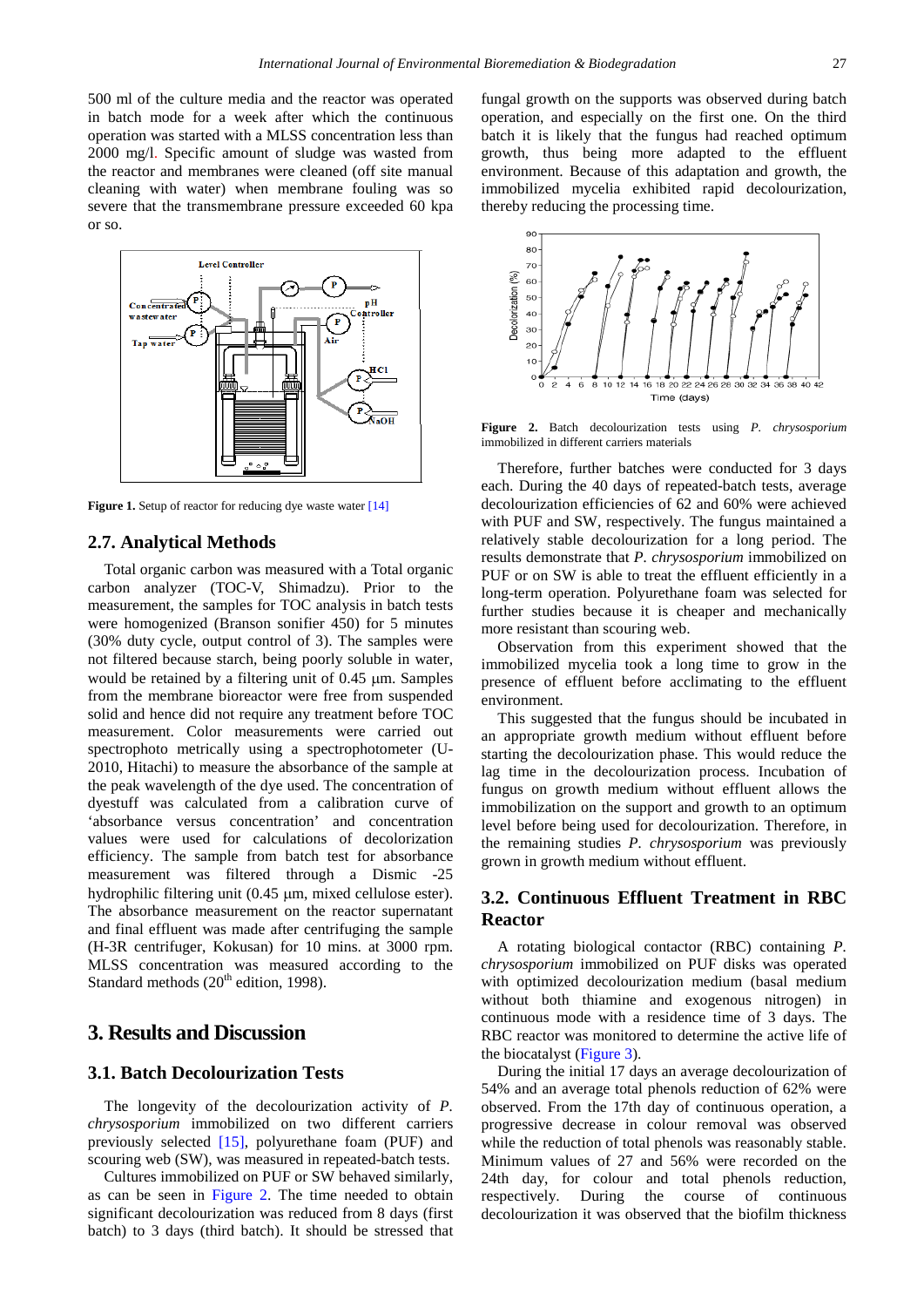500 ml of the culture media and the reactor was operated in batch mode for a week after which the continuous operation was started with a MLSS concentration less than 2000 mg/l. Specific amount of sludge was wasted from the reactor and membranes were cleaned (off site manual cleaning with water) when membrane fouling was so severe that the transmembrane pressure exceeded 60 kpa or so.



**Figure 1.** Setup of reactor for reducing dye waste wate[r \[14\]](#page-4-13)

#### **2.7. Analytical Methods**

Total organic carbon was measured with a Total organic carbon analyzer (TOC-V, Shimadzu). Prior to the measurement, the samples for TOC analysis in batch tests were homogenized (Branson sonifier 450) for 5 minutes (30% duty cycle, output control of 3). The samples were not filtered because starch, being poorly soluble in water, would be retained by a filtering unit of 0.45  $\mu$ m. Samples from the membrane bioreactor were free from suspended solid and hence did not require any treatment before TOC measurement. Color measurements were carried out spectrophoto metrically using a spectrophotometer (U-2010, Hitachi) to measure the absorbance of the sample at the peak wavelength of the dye used. The concentration of dyestuff was calculated from a calibration curve of 'absorbance versus concentration' and concentration values were used for calculations of decolorization efficiency. The sample from batch test for absorbance measurement was filtered through a Dismic -25 hydrophilic filtering unit (0.45 µm, mixed cellulose ester). The absorbance measurement on the reactor supernatant and final effluent was made after centrifuging the sample (H-3R centrifuger, Kokusan) for 10 mins. at 3000 rpm. MLSS concentration was measured according to the Standard methods  $(20^{th}$  edition, 1998).

# **3. Results and Discussion**

## **3.1. Batch Decolourization Tests**

The longevity of the decolourization activity of *P. chrysosporium* immobilized on two different carriers previously selected [\[15\],](#page-4-14) polyurethane foam (PUF) and scouring web (SW), was measured in repeated-batch tests.

Cultures immobilized on PUF or SW behaved similarly, as can be seen in [Figure 2.](#page-2-0) The time needed to obtain significant decolourization was reduced from 8 days (first batch) to 3 days (third batch). It should be stressed that fungal growth on the supports was observed during batch operation, and especially on the first one. On the third batch it is likely that the fungus had reached optimum growth, thus being more adapted to the effluent environment. Because of this adaptation and growth, the immobilized mycelia exhibited rapid decolourization, thereby reducing the processing time.

<span id="page-2-0"></span>

**Figure 2.** Batch decolourization tests using *P. chrysosporium*  immobilized in different carriers materials

Therefore, further batches were conducted for 3 days each. During the 40 days of repeated-batch tests, average decolourization efficiencies of 62 and 60% were achieved with PUF and SW, respectively. The fungus maintained a relatively stable decolourization for a long period. The results demonstrate that *P. chrysosporium* immobilized on PUF or on SW is able to treat the effluent efficiently in a long-term operation. Polyurethane foam was selected for further studies because it is cheaper and mechanically more resistant than scouring web.

Observation from this experiment showed that the immobilized mycelia took a long time to grow in the presence of effluent before acclimating to the effluent environment.

This suggested that the fungus should be incubated in an appropriate growth medium without effluent before starting the decolourization phase. This would reduce the lag time in the decolourization process. Incubation of fungus on growth medium without effluent allows the immobilization on the support and growth to an optimum level before being used for decolourization. Therefore, in the remaining studies *P. chrysosporium* was previously grown in growth medium without effluent.

# **3.2. Continuous Effluent Treatment in RBC Reactor**

A rotating biological contactor (RBC) containing *P. chrysosporium* immobilized on PUF disks was operated with optimized decolourization medium (basal medium without both thiamine and exogenous nitrogen) in continuous mode with a residence time of 3 days. The RBC reactor was monitored to determine the active life of the biocatalyst [\(Figure 3\)](#page-3-0).

During the initial 17 days an average decolourization of 54% and an average total phenols reduction of 62% were observed. From the 17th day of continuous operation, a progressive decrease in colour removal was observed while the reduction of total phenols was reasonably stable. Minimum values of 27 and 56% were recorded on the 24th day, for colour and total phenols reduction, respectively. During the course of continuous decolourization it was observed that the biofilm thickness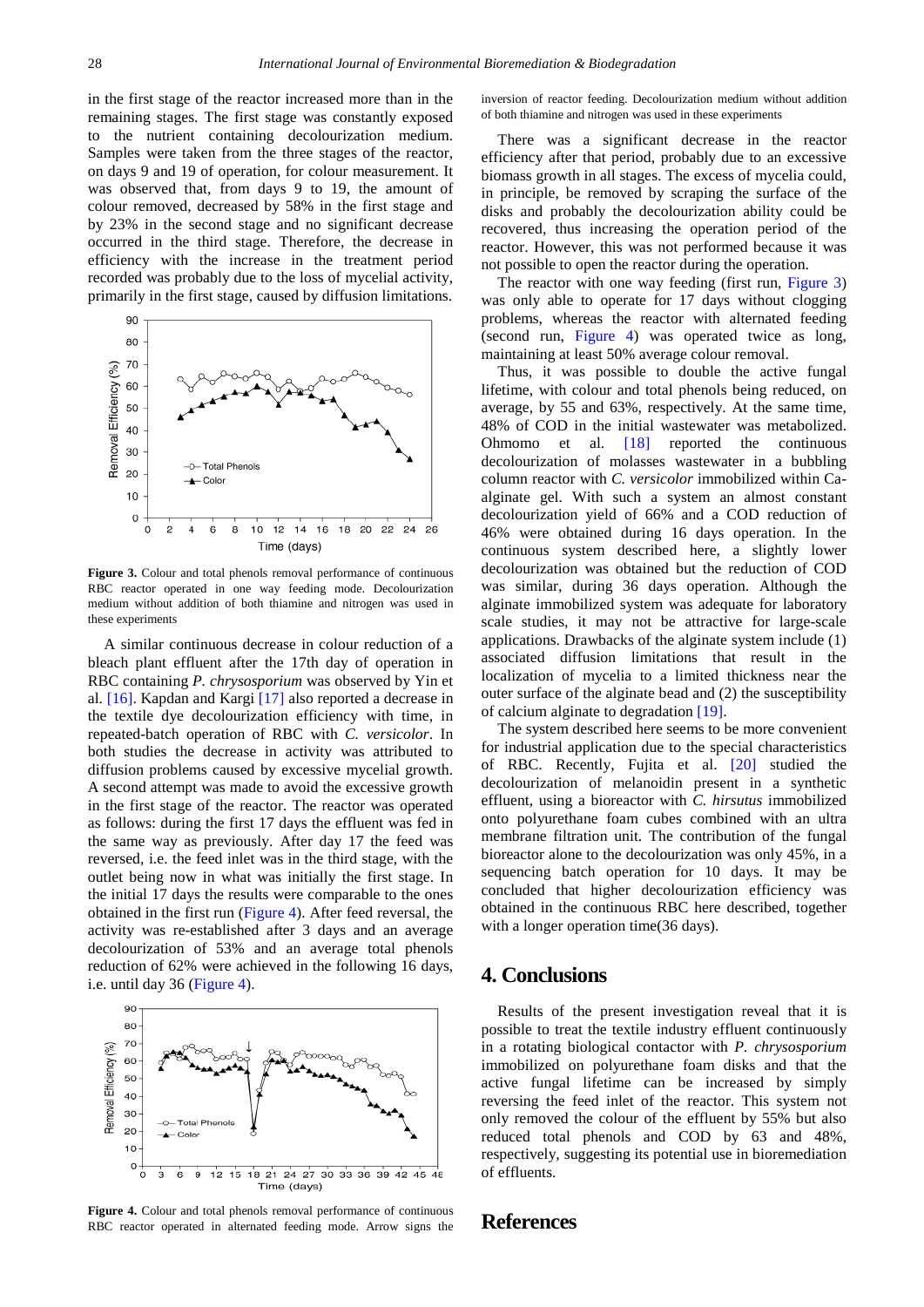in the first stage of the reactor increased more than in the remaining stages. The first stage was constantly exposed to the nutrient containing decolourization medium. Samples were taken from the three stages of the reactor, on days 9 and 19 of operation, for colour measurement. It was observed that, from days 9 to 19, the amount of colour removed, decreased by 58% in the first stage and by 23% in the second stage and no significant decrease occurred in the third stage. Therefore, the decrease in efficiency with the increase in the treatment period recorded was probably due to the loss of mycelial activity, primarily in the first stage, caused by diffusion limitations.

<span id="page-3-0"></span>

**Figure 3.** Colour and total phenols removal performance of continuous RBC reactor operated in one way feeding mode. Decolourization medium without addition of both thiamine and nitrogen was used in these experiments

A similar continuous decrease in colour reduction of a bleach plant effluent after the 17th day of operation in RBC containing *P. chrysosporium* was observed by Yin et al. [\[16\].](#page-4-15) Kapdan and Karg[i \[17\]](#page-4-16) also reported a decrease in the textile dye decolourization efficiency with time, in repeated-batch operation of RBC with *C. versicolor*. In both studies the decrease in activity was attributed to diffusion problems caused by excessive mycelial growth. A second attempt was made to avoid the excessive growth in the first stage of the reactor. The reactor was operated as follows: during the first 17 days the effluent was fed in the same way as previously. After day 17 the feed was reversed, i.e. the feed inlet was in the third stage, with the outlet being now in what was initially the first stage. In the initial 17 days the results were comparable to the ones obtained in the first run [\(Figure 4\)](#page-3-1). After feed reversal, the activity was re-established after 3 days and an average decolourization of 53% and an average total phenols reduction of 62% were achieved in the following 16 days, i.e. until day 36 [\(Figure 4\)](#page-3-1).

<span id="page-3-1"></span>

**Figure 4.** Colour and total phenols removal performance of continuous RBC reactor operated in alternated feeding mode. Arrow signs the

inversion of reactor feeding. Decolourization medium without addition of both thiamine and nitrogen was used in these experiments

There was a significant decrease in the reactor efficiency after that period, probably due to an excessive biomass growth in all stages. The excess of mycelia could, in principle, be removed by scraping the surface of the disks and probably the decolourization ability could be recovered, thus increasing the operation period of the reactor. However, this was not performed because it was not possible to open the reactor during the operation.

The reactor with one way feeding (first run, [Figure 3\)](#page-3-0) was only able to operate for 17 days without clogging problems, whereas the reactor with alternated feeding (second run, [Figure 4\)](#page-3-1) was operated twice as long, maintaining at least 50% average colour removal.

Thus, it was possible to double the active fungal lifetime, with colour and total phenols being reduced, on average, by 55 and 63%, respectively. At the same time, 48% of COD in the initial wastewater was metabolized. Ohmomo et al. [\[18\]](#page-4-17) reported the continuous decolourization of molasses wastewater in a bubbling column reactor with *C. versicolor* immobilized within Caalginate gel. With such a system an almost constant decolourization yield of 66% and a COD reduction of 46% were obtained during 16 days operation. In the continuous system described here, a slightly lower decolourization was obtained but the reduction of COD was similar, during 36 days operation. Although the alginate immobilized system was adequate for laboratory scale studies, it may not be attractive for large-scale applications. Drawbacks of the alginate system include (1) associated diffusion limitations that result in the localization of mycelia to a limited thickness near the outer surface of the alginate bead and (2) the susceptibility of calcium alginate to degradation [\[19\].](#page-4-18)

The system described here seems to be more convenient for industrial application due to the special characteristics of RBC. Recently, Fujita et al. [\[20\]](#page-4-19) studied the decolourization of melanoidin present in a synthetic effluent, using a bioreactor with *C. hirsutus* immobilized onto polyurethane foam cubes combined with an ultra membrane filtration unit. The contribution of the fungal bioreactor alone to the decolourization was only 45%, in a sequencing batch operation for 10 days. It may be concluded that higher decolourization efficiency was obtained in the continuous RBC here described, together with a longer operation time(36 days).

# **4. Conclusions**

Results of the present investigation reveal that it is possible to treat the textile industry effluent continuously in a rotating biological contactor with *P. chrysosporium*  immobilized on polyurethane foam disks and that the active fungal lifetime can be increased by simply reversing the feed inlet of the reactor. This system not only removed the colour of the effluent by 55% but also reduced total phenols and COD by 63 and 48%, respectively, suggesting its potential use in bioremediation of effluents.

## **References**